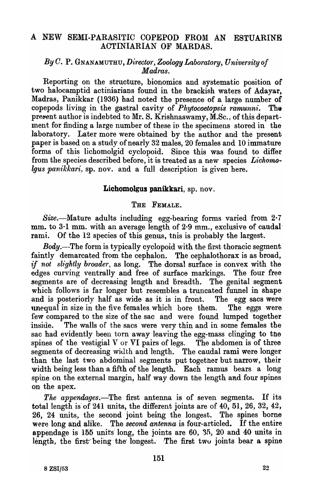# A NEW SEMI-PARASITIC COPEPOD FROM AN ESTUARINE ACTINIARIAN OF MARDAS.

# By C. P. GNANAMUTHU, *Director*, Zoology Laboratory, University of *Madras.*

Reporting on the structure, bionomics and systematic position of two halocamptid actiniarians found in the brackish waters of Adayar, Madras, Panikkar (1936) had noted the presence of a large number of copepods living in the gastral cavity of *Phytocoetopsis ramunni*. The present author is indebted to Mr. S. Krishnaswamy,  $\overline{M}$ .Sc., of this department for finding a large number of these in the specimens stored in the laboratory. Later more were obtained by the author and the present paper is based on a study of nearly 32 males, 20 females and 10 immature forms of this lichomolgid cyclopoid. Since this was found to differ from the species described before, it is treated as a new species *Lichomo* $lgus$  panikkari, sp. nov. and a full description is given here.

### Lichomolgus panikkari, sp. nov.

## THE FEMALE.

Size.-Mature adults including egg-bearing forms varied from 2.7 mm. to  $3·1$  mm. with an average length of  $2·9$  mm., exclusive of caudal rami. Of the 12 species of this genus, this is probably the largest.

*Body.--The* form is typically cyclopoid with the first thoracic segment. faintly demarcated from the cephalon. The cephalothorax is as broad, if not slightly broader, as long. The dorsal surface is convex with the edges curving ventrally and free of surface markings. The four free edges curving ventrally and free of surface markings. segments are of decreasing length and breadth. The genital segment which follows is far longer but resembles a truncated funnel in shape and is posteriorly half as wide as it is in front. The egg sacs were unequal in size in the five females which bore them. The eggs were few compared to the size of the sac and were found lumped together inside. The walls of the sacs were very thin and in some females the sac had evidently been torn away leaving the egg-mass clinging to the spines of the vestigial V or VI pairs of legs. The abdomen is of three segments of decreasing width and length. The caudal rami were longer than the last two abdominal segments put together but narrow, their width being less than a fifth of the length. Each ramus bears a long spine on the external margin, half way down the length and four spines on the apex.

The appendages.—The first antenna is of seven segments. If its total length is of 241 units, the different joints are of  $40$ ,  $51$ ,  $26$ ,  $32$ ,  $42$ , 26, 24 units., the' second joint being the longest. The spines borne' were long and alike. The *second antenna* is four-articled. If the entire appendage is 155 units long, the joints are 60, 35, 20 and 40 units in length, the first being the longest. The first two joints bear a spine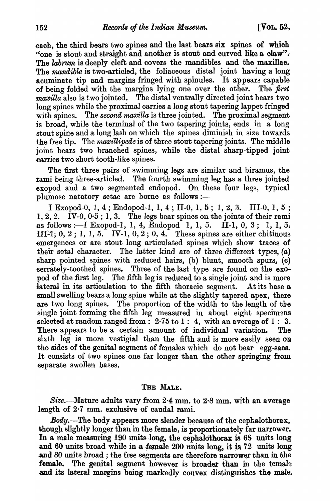each, the third bears two spines and the last bears six spines of which "one is stout and straight and another is stout and curved like a claw". The *labrum* is deeply cleft and covers the mandibles and the maxillae. The *mandible* is two-articled, the foliaceous distal joint having a long acuminate tip and margins fringed with spinules. It appears capable of being folded with the margins lying one over the other. The *first*   $maxilla$  also is two jointed. The distal ventrally directed joint bears two long spines while the proximal carries a long stout tapering lappet fringed with spines. The *second maxilla* is three jointed. The proximal segment is broad, while the terminal of the two tapering joints, ends in a long stout spine and a long lash on which the spines diminish in size towards the free tip. The *maxillipede* is of three stout tapering joints. The middle joint bears two branched spines, while the distal sharp-tipped joint carries two short tooth-like spines.

The first three pairs of swimming legs are similar and biramus, the rami being three-articled. The fourth swimming leg has a three jointed exopod and a two segmented endopod. On these four legs, typical plumose natatory setae are borne as follows :-

I Exopod-O, 1, 4 ; Endopod-1, 1, 4 ; 11-0, 1, 5; 1, 2, 3. 111-0, 1, 5 ; 1, 2, 2.  $\bar{IV}$ -0, 0 $\cdot$ 5; 1, 3. The legs bear spines on the joints of their rami as follows :—I Exopod-1, 1, 4, Endopod 1, 1, 5. II-1, 0, 3; 1, 1, 5. **111**-1, 0, 2; 1, 1, 5. IV-1, 0, 2; 0, 4. These spines are either chitinous emergences or are stout long articulated spines which show traces of their setal character. The latter kind are of three different types, (a) sharp pointed spines with reduced hairs, (b) blunt, smooth spurs, (c) serrately-toothed spines. Three of the last type are found on the exOpod of the first leg. The fifth leg is reduced to a single joint and is more lateral in its articulation to the fifth thoracic segment. At its base a small swelling bears a long spine while at the slightly tapered apex, there are two long spines. The proportion of the width to the length of the single joint forming the fifth leg measured in about eight specimens selected at random ranged from:  $2.75$  to 1: 4, with an average of 1: 3. There appears to be a certain amount of individual variation. The sixth leg is more vestigial than the fifth and is more easily seen on the sides of the genital segment of females which do not bear egg-sacs. It consists of two spines one far longer than the other springing from separate swollen bases.

## THE MALE.

Size.--Mature adults vary from 2.4 mm. to 2.8 mm. with an average length of 2·7 mm. exclusive of caudal rami.

*Body.*—The body appears more slender because of the cephalothorax, though slightly longer than in the female, is proportionately far narrower. In a male measuring 190 units long, the cephalothorax is 68 units long and 60 units broad while in a  $t$ emale 200 units long, it is  $72$  units long and 80 units broad; the free segments are therefore narrower than in the female. The genital segment however is broader than in the temale and its lateral margins being markedly convex distinguishes the male.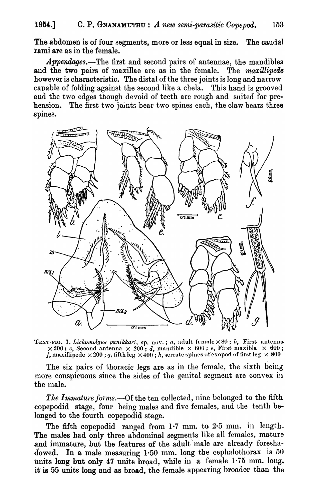The abdomen is of four segments, more or less equal in size. The caudal rami are as in the female.

Appendages.-The first and second pairs of antennae, the mandibles and the two pairs of maxillae are as in the female. The *maxillipede* however is characteristic. The distal of the three joints is long and narrow capable of folding against the second like a chela. This hand is grooved and the two edges though devoid of teeth are rough and suited for prehension. The first two joints bear two spines each, the claw bears three spines.



TEXT-FIG. I. *Lichomolgus panikkari*, *sp. nov.*; *a*, adult female × 80; *b*, First antenna  $\times 200$ ; *c*, Second antenna  $\times 200$ ; *d*, mandible  $\times 600$ ; *e*, First maxibla  $\times 600$ ; f, maxillipede  $\times 200$ ; g, fifth leg  $\times 400$ ; h, serrate spines of exopod of first leg  $\times 800$ 

The six pairs of thoracic legs are as in the female, the sixth being more conspicuous since the sides of the genital segment are convex in the male.

The Immature forms.—Of the ten collected, nine belonged to the fifth copepodid stage, four being males and five females, and the tenth belonged to the fourth copepodid stage.

The fifth copepodid ranged from  $1·7$  mm. to  $2·5$  mm. in length. The males had only three abdominal segments like all females, mature and immature, but the features of the adult male are already foreshadowed. In a male measuring 1.50 mm. long the cephalothorax is  $50$ units long but only 47 units broad, while in a female  $1.75$  mm. long. it is 55 units long and as broad, the female appearing hroader than the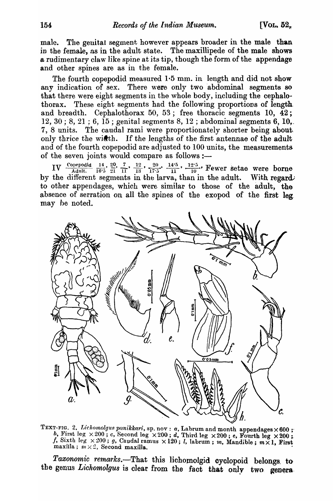male. The genital segment however appears broader in the male than in the female, as in the adult state. The maxillipede of the male shows a rudimentary claw like spine at its tip, though the form of the appendage and other spines are as in the female.

The fourth copepodid measured 1.5 mm. in length and did not show any indication of sex. There were only two abdominal segments so that there were eight segments in the whole body, including the cephalothorax. These eight segments had the following proportions of length and breadth. Cephalothorax 50, 53; free thoracic segments 10,  $\overline{42}$ ; 12, 30; 8, 21; 6,  $15$ ; genital segments 8, 12; abdominal segments 6, 10,. 7, 8 units. The caudal rami were proportionately shorter being about only thrice the width. If the lengths of the first antennae of the adult and of the fourth copepodid are adjusted to 100 units, the measurements of the seven joints would compare as follows :-

IV Copepodid  $\frac{14}{16 \cdot 5}, \frac{20}{21}, \frac{7}{11}, \frac{12}{13}, \frac{20}{17 \cdot 5}, \frac{14 \cdot 5}{11}, \frac{12 \cdot 5}{10}$ . Fewer setae were borne by the different segments in the larva, than in the adult. With regard to other appendages, which were similar to those of the adult, the absence of serration on all the spines of the exopod of the first leg may be noted.



TEXT-FIG. 2. Lichomolgus panikkari, sp. nov : a, Labrum and month appendages × 600; b, First leg  $\times 200$ ; c, Second leg  $\times 200$ ; d, Third leg  $\times 200$ ; e, Fourth leg  $\times 200$ ; f, Sixth leg  $\times 200$ ; g, Caudal ramus  $\times 120$ ; l, labrum; m, Mandible;  $m \times 1$ , First maxilla;  $m \times 2$ , Second maxilla.

Taxonomic remarks.-That this lichomolgid cyclopoid belongs to the genus Lichomolgus is clear from the fact that only two genera.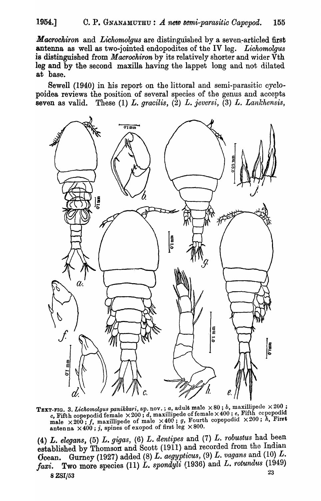*Macrochiron* and *Lichomolgus* are distinguished by a seven-articled first antenna as well as two-jointed endopodites of the IV leg. *Lichomolgus*  is distinguished from *Macrochiron* by its relatively shorter and wider Vth leg and by the second maxilla having the lappet long and not dilated at base.

Sewell (1940) in his report on the littoral and semi-parasitic cyelopoidea reviews the position of several species of the genus and accepts seven as valid. These (1) *L. gracilis,* (2) *L. ieversi,* (3) *L. Lankhensis,* 



TEXT-FIG. 3. *Lichomolgus panikkari*, sp. nov.; *a*, adult male  $\times 80$ ; *b*, maxillipede  $\times 200$ ; *c*, Fifth copepodid female  $\times 200$ ; *d*, maxillipede of female  $\times 400$ ; *e*, Fifth cepepodid  $\times 200$ ; *h*, First male  $\times 200$ ; *f*, maxillipede of male  $\times 400$ ; *g*, Fourth copepodid  $\times 200$ ; *h*, First antenna  $\times 400$ ; j, spines of exopod of first leg  $\times 800$ .

 $(4)$  *L. elegans,*  $(5)$  *L. gigas,*  $(6)$  *L. dentipes and*  $(7)$  *<i>L. robustus had been* established by Thomson and Scott (1911) and recorded from the Indian Ocean. Gurney (1927) added (8) *L. aegypticus*, (9) *L. vagans* and (10) *L. faxi.* Two more species (11)  $\dot{L}$ , spondy $\ddot{u}$  (1936) and  $\ddot{L}$ , rotundus (1949)  $\frac{23}{4}$ 8 ZSI/53